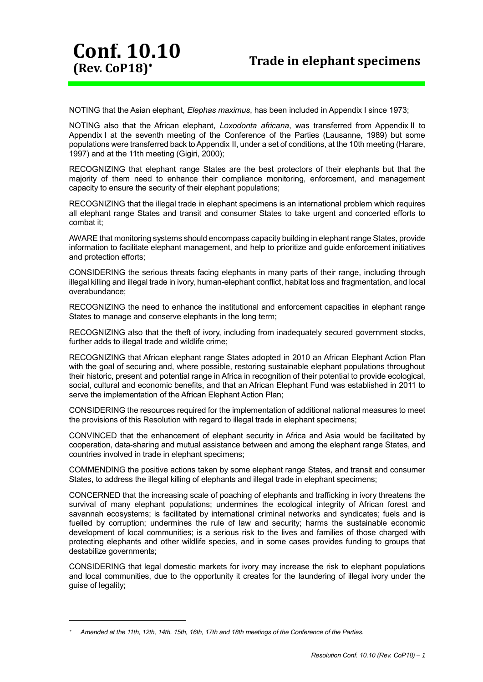NOTING that the Asian elephant, *Elephas maximus*, has been included in Appendix I since 1973;

**Conf. 10.10**

**(Rev. CoP18)**

NOTING also that the African elephant, *Loxodonta africana*, was transferred from Appendix II to Appendix I at the seventh meeting of the Conference of the Parties (Lausanne, 1989) but some populations were transferred back to Appendix II, under a set of conditions, at the 10th meeting (Harare, 1997) and at the 11th meeting (Gigiri, 2000);

RECOGNIZING that elephant range States are the best protectors of their elephants but that the majority of them need to enhance their compliance monitoring, enforcement, and management capacity to ensure the security of their elephant populations;

RECOGNIZING that the illegal trade in elephant specimens is an international problem which requires all elephant range States and transit and consumer States to take urgent and concerted efforts to combat it;

AWARE that monitoring systems should encompass capacity building in elephant range States, provide information to facilitate elephant management, and help to prioritize and guide enforcement initiatives and protection efforts;

CONSIDERING the serious threats facing elephants in many parts of their range, including through illegal killing and illegal trade in ivory, human-elephant conflict, habitat loss and fragmentation, and local overabundance;

RECOGNIZING the need to enhance the institutional and enforcement capacities in elephant range States to manage and conserve elephants in the long term;

RECOGNIZING also that the theft of ivory, including from inadequately secured government stocks, further adds to illegal trade and wildlife crime;

RECOGNIZING that African elephant range States adopted in 2010 an African Elephant Action Plan with the goal of securing and, where possible, restoring sustainable elephant populations throughout their historic, present and potential range in Africa in recognition of their potential to provide ecological, social, cultural and economic benefits, and that an African Elephant Fund was established in 2011 to serve the implementation of the African Elephant Action Plan;

CONSIDERING the resources required for the implementation of additional national measures to meet the provisions of this Resolution with regard to illegal trade in elephant specimens;

CONVINCED that the enhancement of elephant security in Africa and Asia would be facilitated by cooperation, data-sharing and mutual assistance between and among the elephant range States, and countries involved in trade in elephant specimens;

COMMENDING the positive actions taken by some elephant range States, and transit and consumer States, to address the illegal killing of elephants and illegal trade in elephant specimens;

CONCERNED that the increasing scale of poaching of elephants and trafficking in ivory threatens the survival of many elephant populations; undermines the ecological integrity of African forest and savannah ecosystems; is facilitated by international criminal networks and syndicates; fuels and is fuelled by corruption; undermines the rule of law and security; harms the sustainable economic development of local communities; is a serious risk to the lives and families of those charged with protecting elephants and other wildlife species, and in some cases provides funding to groups that destabilize governments;

CONSIDERING that legal domestic markets for ivory may increase the risk to elephant populations and local communities, due to the opportunity it creates for the laundering of illegal ivory under the guise of legality;

-

桨 *Amended at the 11th, 12th, 14th, 15th, 16th, 17th and 18th meetings of the Conference of the Parties.*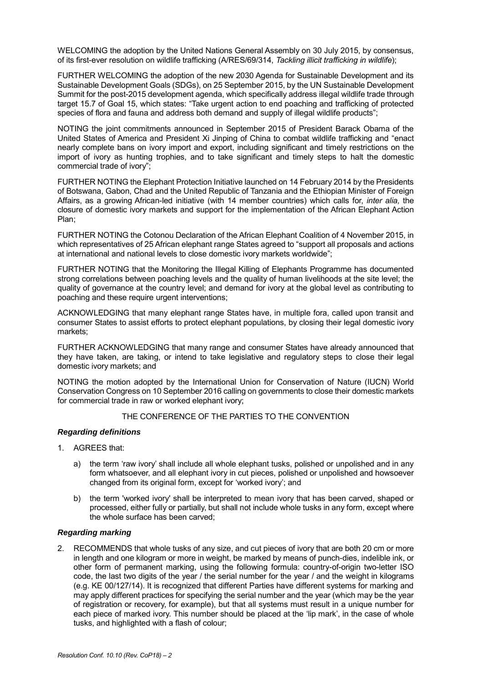WELCOMING the adoption by the United Nations General Assembly on 30 July 2015, by consensus, of its first-ever resolution on wildlife trafficking (A/RES/69/314, *Tackling illicit trafficking in wildlife*);

FURTHER WELCOMING the adoption of the new 2030 Agenda for Sustainable Development and its Sustainable Development Goals (SDGs), on 25 September 2015, by the UN Sustainable Development Summit for the post-2015 development agenda, which specifically address illegal wildlife trade through target 15.7 of Goal 15, which states: "Take urgent action to end poaching and trafficking of protected species of flora and fauna and address both demand and supply of illegal wildlife products";

NOTING the joint commitments announced in September 2015 of President Barack Obama of the United States of America and President Xi Jinping of China to combat wildlife trafficking and "enact nearly complete bans on ivory import and export, including significant and timely restrictions on the import of ivory as hunting trophies, and to take significant and timely steps to halt the domestic commercial trade of ivory";

FURTHER NOTING the Elephant Protection Initiative launched on 14 February 2014 by the Presidents of Botswana, Gabon, Chad and the United Republic of Tanzania and the Ethiopian Minister of Foreign Affairs, as a growing African-led initiative (with 14 member countries) which calls for, *inter alia,* the closure of domestic ivory markets and support for the implementation of the African Elephant Action Plan;

FURTHER NOTING the Cotonou Declaration of the African Elephant Coalition of 4 November 2015, in which representatives of 25 African elephant range States agreed to "support all proposals and actions at international and national levels to close domestic ivory markets worldwide";

FURTHER NOTING that the Monitoring the Illegal Killing of Elephants Programme has documented strong correlations between poaching levels and the quality of human livelihoods at the site level; the quality of governance at the country level; and demand for ivory at the global level as contributing to poaching and these require urgent interventions;

ACKNOWLEDGING that many elephant range States have, in multiple fora, called upon transit and consumer States to assist efforts to protect elephant populations, by closing their legal domestic ivory markets;

FURTHER ACKNOWLEDGING that many range and consumer States have already announced that they have taken, are taking, or intend to take legislative and regulatory steps to close their legal domestic ivory markets; and

NOTING the motion adopted by the International Union for Conservation of Nature (IUCN) World Conservation Congress on 10 September 2016 calling on governments to close their domestic markets for commercial trade in raw or worked elephant ivory;

#### THE CONFERENCE OF THE PARTIES TO THE CONVENTION

#### *Regarding definitions*

- 1. AGREES that:
	- a) the term 'raw ivory' shall include all whole elephant tusks, polished or unpolished and in any form whatsoever, and all elephant ivory in cut pieces, polished or unpolished and howsoever changed from its original form, except for 'worked ivory'; and
	- b) the term 'worked ivory' shall be interpreted to mean ivory that has been carved, shaped or processed, either fully or partially, but shall not include whole tusks in any form, except where the whole surface has been carved;

### *Regarding marking*

2. RECOMMENDS that whole tusks of any size, and cut pieces of ivory that are both 20 cm or more in length and one kilogram or more in weight, be marked by means of punch-dies, indelible ink, or other form of permanent marking, using the following formula: country-of-origin two-letter ISO code, the last two digits of the year / the serial number for the year / and the weight in kilograms (e.g. KE 00/127/14). It is recognized that different Parties have different systems for marking and may apply different practices for specifying the serial number and the year (which may be the year of registration or recovery, for example), but that all systems must result in a unique number for each piece of marked ivory. This number should be placed at the 'lip mark', in the case of whole tusks, and highlighted with a flash of colour;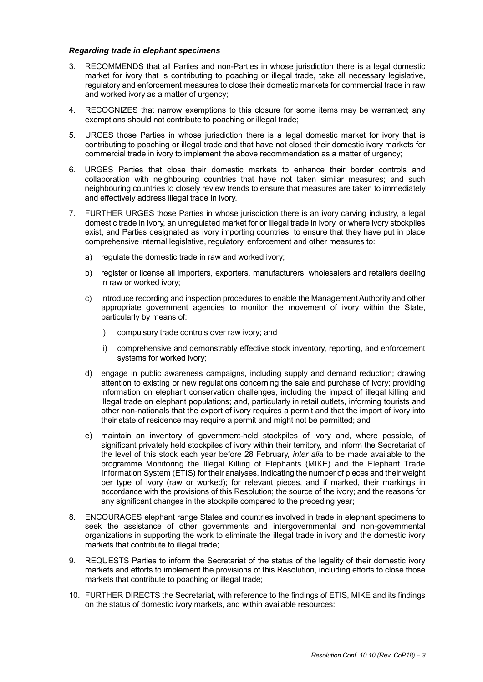#### *Regarding trade in elephant specimens*

- 3. RECOMMENDS that all Parties and non-Parties in whose jurisdiction there is a legal domestic market for ivory that is contributing to poaching or illegal trade, take all necessary legislative, regulatory and enforcement measures to close their domestic markets for commercial trade in raw and worked ivory as a matter of urgency;
- 4. RECOGNIZES that narrow exemptions to this closure for some items may be warranted; any exemptions should not contribute to poaching or illegal trade;
- 5. URGES those Parties in whose jurisdiction there is a legal domestic market for ivory that is contributing to poaching or illegal trade and that have not closed their domestic ivory markets for commercial trade in ivory to implement the above recommendation as a matter of urgency;
- 6. URGES Parties that close their domestic markets to enhance their border controls and collaboration with neighbouring countries that have not taken similar measures; and such neighbouring countries to closely review trends to ensure that measures are taken to immediately and effectively address illegal trade in ivory.
- 7. FURTHER URGES those Parties in whose jurisdiction there is an ivory carving industry, a legal domestic trade in ivory, an unregulated market for or illegal trade in ivory, or where ivory stockpiles exist, and Parties designated as ivory importing countries, to ensure that they have put in place comprehensive internal legislative, regulatory, enforcement and other measures to:
	- a) regulate the domestic trade in raw and worked ivory;
	- b) register or license all importers, exporters, manufacturers, wholesalers and retailers dealing in raw or worked ivory;
	- c) introduce recording and inspection procedures to enable the Management Authority and other appropriate government agencies to monitor the movement of ivory within the State, particularly by means of:
		- i) compulsory trade controls over raw ivory; and
		- ii) comprehensive and demonstrably effective stock inventory, reporting, and enforcement systems for worked ivory;
	- d) engage in public awareness campaigns, including supply and demand reduction; drawing attention to existing or new regulations concerning the sale and purchase of ivory; providing information on elephant conservation challenges, including the impact of illegal killing and illegal trade on elephant populations; and, particularly in retail outlets, informing tourists and other non-nationals that the export of ivory requires a permit and that the import of ivory into their state of residence may require a permit and might not be permitted; and
	- e) maintain an inventory of government-held stockpiles of ivory and, where possible, of significant privately held stockpiles of ivory within their territory, and inform the Secretariat of the level of this stock each year before 28 February, *inter alia* to be made available to the programme Monitoring the Illegal Killing of Elephants (MIKE) and the Elephant Trade Information System (ETIS) for their analyses, indicating the number of pieces and their weight per type of ivory (raw or worked); for relevant pieces, and if marked, their markings in accordance with the provisions of this Resolution; the source of the ivory; and the reasons for any significant changes in the stockpile compared to the preceding year;
- 8. ENCOURAGES elephant range States and countries involved in trade in elephant specimens to seek the assistance of other governments and intergovernmental and non-governmental organizations in supporting the work to eliminate the illegal trade in ivory and the domestic ivory markets that contribute to illegal trade;
- 9. REQUESTS Parties to inform the Secretariat of the status of the legality of their domestic ivory markets and efforts to implement the provisions of this Resolution, including efforts to close those markets that contribute to poaching or illegal trade;
- 10. FURTHER DIRECTS the Secretariat, with reference to the findings of ETIS, MIKE and its findings on the status of domestic ivory markets, and within available resources: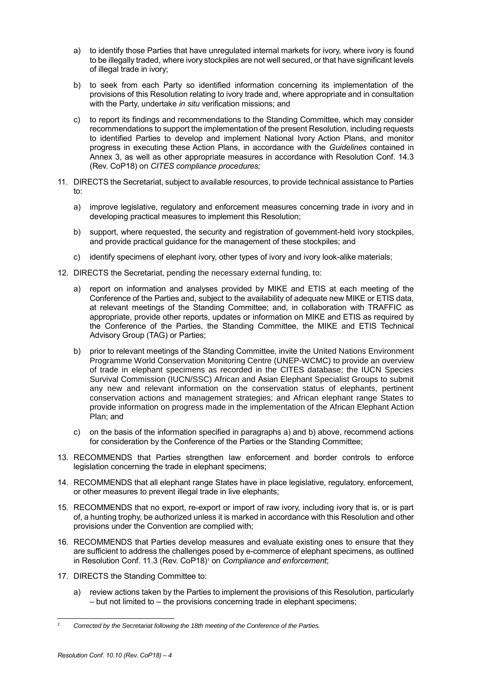- a) to identify those Parties that have unregulated internal markets for ivory, where ivory is found to be illegally traded, where ivory stockpiles are not well secured, or that have significant levels of illegal trade in ivory;
- b) to seek from each Party so identified information concerning its implementation of the provisions of this Resolution relating to ivory trade and, where appropriate and in consultation with the Party, undertake *in situ* verification missions; and
- c) to report its findings and recommendations to the Standing Committee, which may consider recommendations to support the implementation of the present Resolution, including requests to identified Parties to develop and implement National Ivory Action Plans, and monitor progress in executing these Action Plans, in accordance with the *Guidelines* contained in Annex 3, as well as other appropriate measures in accordance with Resolution Conf. 14.3 (Rev. CoP18) on *CITES compliance procedures;*
- 11. DIRECTS the Secretariat, subject to available resources, to provide technical assistance to Parties to:
	- a) improve legislative, regulatory and enforcement measures concerning trade in ivory and in developing practical measures to implement this Resolution;
	- b) support, where requested, the security and registration of government-held ivory stockpiles, and provide practical guidance for the management of these stockpiles; and
	- c) identify specimens of elephant ivory, other types of ivory and ivory look-alike materials;
- 12. DIRECTS the Secretariat, pending the necessary external funding, to:
	- a) report on information and analyses provided by MIKE and ETIS at each meeting of the Conference of the Parties and, subject to the availability of adequate new MIKE or ETIS data, at relevant meetings of the Standing Committee; and, in collaboration with TRAFFIC as appropriate, provide other reports, updates or information on MIKE and ETIS as required by the Conference of the Parties, the Standing Committee, the MIKE and ETIS Technical Advisory Group (TAG) or Parties;
	- b) prior to relevant meetings of the Standing Committee, invite the United Nations Environment Programme World Conservation Monitoring Centre (UNEP-WCMC) to provide an overview of trade in elephant specimens as recorded in the CITES database; the IUCN Species Survival Commission (IUCN/SSC) African and Asian Elephant Specialist Groups to submit any new and relevant information on the conservation status of elephants, pertinent conservation actions and management strategies; and African elephant range States to provide information on progress made in the implementation of the African Elephant Action Plan; and
	- c) on the basis of the information specified in paragraphs a) and b) above, recommend actions for consideration by the Conference of the Parties or the Standing Committee;
- 13. RECOMMENDS that Parties strengthen law enforcement and border controls to enforce legislation concerning the trade in elephant specimens;
- 14. RECOMMENDS that all elephant range States have in place legislative, regulatory, enforcement, or other measures to prevent illegal trade in live elephants;
- 15. RECOMMENDS that no export, re-export or import of raw ivory, including ivory that is, or is part of, a hunting trophy, be authorized unless it is marked in accordance with this Resolution and other provisions under the Convention are complied with;
- 16. RECOMMENDS that Parties develop measures and evaluate existing ones to ensure that they are sufficient to address the challenges posed by e-commerce of elephant specimens, as outlined in Resolution Conf. 11.3 (Rev. CoP18) <sup>1</sup> on *Compliance and enforcement*;
- 17. DIRECTS the Standing Committee to:
	- a) review actions taken by the Parties to implement the provisions of this Resolution, particularly – but not limited to – the provisions concerning trade in elephant specimens;

l

*<sup>1</sup> Corrected by the Secretariat following the 18th meeting of the Conference of the Parties.*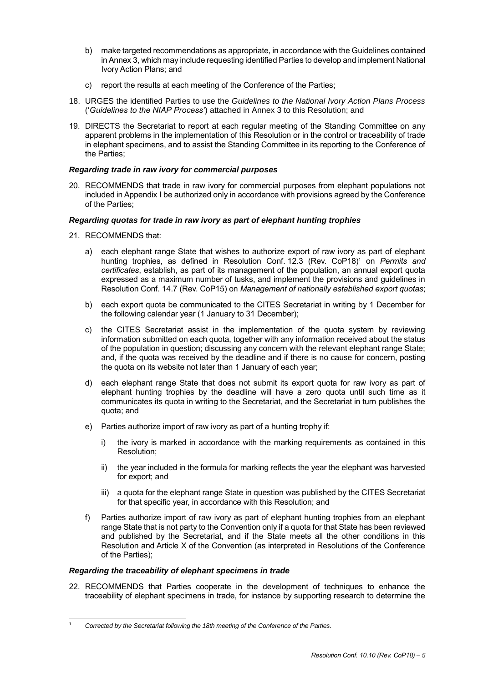- b) make targeted recommendations as appropriate, in accordance with the Guidelines contained in Annex 3, which may include requesting identified Parties to develop and implement National Ivory Action Plans; and
- c) report the results at each meeting of the Conference of the Parties;
- 18. URGES the identified Parties to use the *Guidelines to the National Ivory Action Plans Process* ('*Guidelines to the NIAP Process'*) attached in Annex 3 to this Resolution; and
- 19. DIRECTS the Secretariat to report at each regular meeting of the Standing Committee on any apparent problems in the implementation of this Resolution or in the control or traceability of trade in elephant specimens, and to assist the Standing Committee in its reporting to the Conference of the Parties;

# *Regarding trade in raw ivory for commercial purposes*

20. RECOMMENDS that trade in raw ivory for commercial purposes from elephant populations not included in Appendix I be authorized only in accordance with provisions agreed by the Conference of the Parties;

# *Regarding quotas for trade in raw ivory as part of elephant hunting trophies*

- 21. RECOMMENDS that:
	- a) each elephant range State that wishes to authorize export of raw ivory as part of elephant hunting trophies, as defined in Resolution Conf. 12.3 (Rev. CoP18) <sup>1</sup> on *Permits and certificates*, establish, as part of its management of the population, an annual export quota expressed as a maximum number of tusks, and implement the provisions and guidelines in Resolution Conf. 14.7 (Rev. CoP15) on *Management of nationally established export quotas*;
	- b) each export quota be communicated to the CITES Secretariat in writing by 1 December for the following calendar year (1 January to 31 December);
	- c) the CITES Secretariat assist in the implementation of the quota system by reviewing information submitted on each quota, together with any information received about the status of the population in question; discussing any concern with the relevant elephant range State; and, if the quota was received by the deadline and if there is no cause for concern, posting the quota on its website not later than 1 January of each year;
	- d) each elephant range State that does not submit its export quota for raw ivory as part of elephant hunting trophies by the deadline will have a zero quota until such time as it communicates its quota in writing to the Secretariat, and the Secretariat in turn publishes the quota; and
	- e) Parties authorize import of raw ivory as part of a hunting trophy if:
		- i) the ivory is marked in accordance with the marking requirements as contained in this Resolution;
		- ii) the year included in the formula for marking reflects the year the elephant was harvested for export; and
		- iii) a quota for the elephant range State in question was published by the CITES Secretariat for that specific year, in accordance with this Resolution; and
	- f) Parties authorize import of raw ivory as part of elephant hunting trophies from an elephant range State that is not party to the Convention only if a quota for that State has been reviewed and published by the Secretariat, and if the State meets all the other conditions in this Resolution and Article X of the Convention (as interpreted in Resolutions of the Conference of the Parties);

# *Regarding the traceability of elephant specimens in trade*

1

22. RECOMMENDS that Parties cooperate in the development of techniques to enhance the traceability of elephant specimens in trade, for instance by supporting research to determine the

<sup>1</sup> *Corrected by the Secretariat following the 18th meeting of the Conference of the Parties.*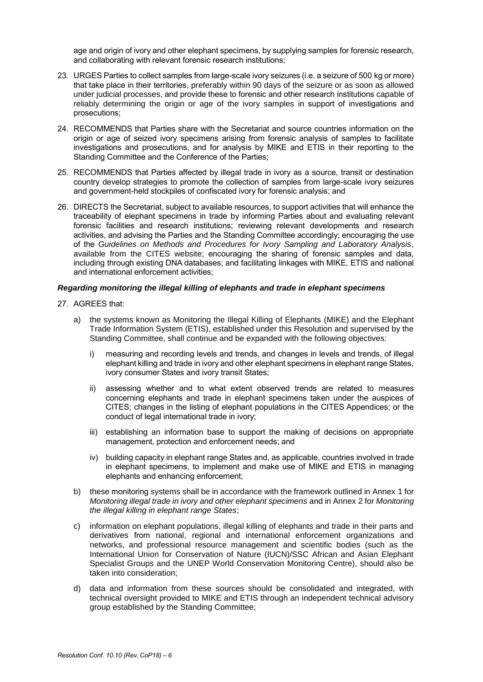age and origin of ivory and other elephant specimens, by supplying samples for forensic research, and collaborating with relevant forensic research institutions;

- 23. URGES Parties to collect samples from large-scale ivory seizures (i.e. a seizure of 500 kg or more) that take place in their territories, preferably within 90 days of the seizure or as soon as allowed under judicial processes, and provide these to forensic and other research institutions capable of reliably determining the origin or age of the ivory samples in support of investigations and prosecutions;
- 24. RECOMMENDS that Parties share with the Secretariat and source countries information on the origin or age of seized ivory specimens arising from forensic analysis of samples to facilitate investigations and prosecutions, and for analysis by MIKE and ETIS in their reporting to the Standing Committee and the Conference of the Parties;
- 25. RECOMMENDS that Parties affected by illegal trade in ivory as a source, transit or destination country develop strategies to promote the collection of samples from large-scale ivory seizures and government-held stockpiles of confiscated ivory for forensic analysis; and
- 26. DIRECTS the Secretariat, subject to available resources, to support activities that will enhance the traceability of elephant specimens in trade by informing Parties about and evaluating relevant forensic facilities and research institutions; reviewing relevant developments and research activities, and advising the Parties and the Standing Committee accordingly; encouraging the use of the *Guidelines on Methods and Procedures for Ivory Sampling and Laboratory Analysis*, available from the CITES website; encouraging the sharing of forensic samples and data, including through existing DNA databases; and facilitating linkages with MIKE, ETIS and national and international enforcement activities;

#### *Regarding monitoring the illegal killing of elephants and trade in elephant specimens*

- 27. AGREES that:
	- a) the systems known as Monitoring the Illegal Killing of Elephants (MIKE) and the Elephant Trade Information System (ETIS), established under this Resolution and supervised by the Standing Committee, shall continue and be expanded with the following objectives:
		- i) measuring and recording levels and trends, and changes in levels and trends, of illegal elephant killing and trade in ivory and other elephant specimens in elephant range States, ivory consumer States and ivory transit States;
		- ii) assessing whether and to what extent observed trends are related to measures concerning elephants and trade in elephant specimens taken under the auspices of CITES; changes in the listing of elephant populations in the CITES Appendices; or the conduct of legal international trade in ivory;
		- iii) establishing an information base to support the making of decisions on appropriate management, protection and enforcement needs; and
		- iv) building capacity in elephant range States and, as applicable, countries involved in trade in elephant specimens, to implement and make use of MIKE and ETIS in managing elephants and enhancing enforcement;
	- b) these monitoring systems shall be in accordance with the framework outlined in Annex 1 for *Monitoring illegal trade in ivory and other elephant specimens* and in Annex 2 for *Monitoring the illegal killing in elephant range States*;
	- c) information on elephant populations, illegal killing of elephants and trade in their parts and derivatives from national, regional and international enforcement organizations and networks, and professional resource management and scientific bodies (such as the International Union for Conservation of Nature (IUCN)/SSC African and Asian Elephant Specialist Groups and the UNEP World Conservation Monitoring Centre), should also be taken into consideration;
	- d) data and information from these sources should be consolidated and integrated, with technical oversight provided to MIKE and ETIS through an independent technical advisory group established by the Standing Committee;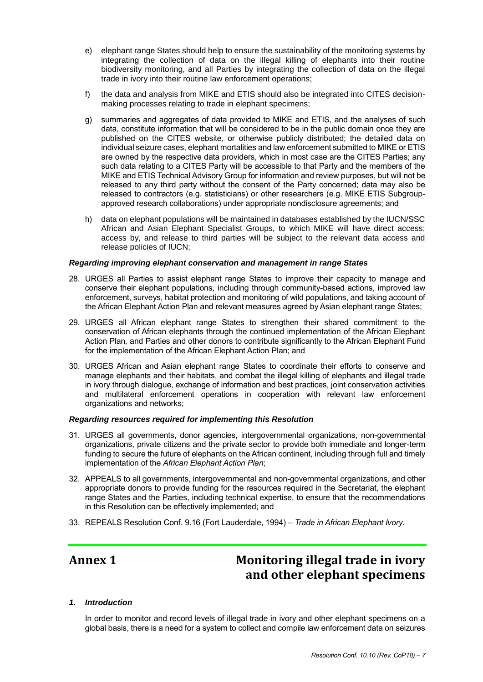- e) elephant range States should help to ensure the sustainability of the monitoring systems by integrating the collection of data on the illegal killing of elephants into their routine biodiversity monitoring, and all Parties by integrating the collection of data on the illegal trade in ivory into their routine law enforcement operations;
- f) the data and analysis from MIKE and ETIS should also be integrated into CITES decisionmaking processes relating to trade in elephant specimens;
- g) summaries and aggregates of data provided to MIKE and ETIS, and the analyses of such data, constitute information that will be considered to be in the public domain once they are published on the CITES website, or otherwise publicly distributed; the detailed data on individual seizure cases, elephant mortalities and law enforcement submitted to MIKE or ETIS are owned by the respective data providers, which in most case are the CITES Parties; any such data relating to a CITES Party will be accessible to that Party and the members of the MIKE and ETIS Technical Advisory Group for information and review purposes, but will not be released to any third party without the consent of the Party concerned; data may also be released to contractors (e.g. statisticians) or other researchers (e.g. MIKE ETIS Subgroupapproved research collaborations) under appropriate nondisclosure agreements; and
- h) data on elephant populations will be maintained in databases established by the IUCN/SSC African and Asian Elephant Specialist Groups, to which MIKE will have direct access; access by, and release to third parties will be subject to the relevant data access and release policies of IUCN;

#### *Regarding improving elephant conservation and management in range States*

- 28. URGES all Parties to assist elephant range States to improve their capacity to manage and conserve their elephant populations, including through community-based actions, improved law enforcement, surveys, habitat protection and monitoring of wild populations, and taking account of the African Elephant Action Plan and relevant measures agreed by Asian elephant range States;
- 29. URGES all African elephant range States to strengthen their shared commitment to the conservation of African elephants through the continued implementation of the African Elephant Action Plan*,* and Parties and other donors to contribute significantly to the African Elephant Fund for the implementation of the African Elephant Action Plan; and
- 30. URGES African and Asian elephant range States to coordinate their efforts to conserve and manage elephants and their habitats, and combat the illegal killing of elephants and illegal trade in ivory through dialogue, exchange of information and best practices, joint conservation activities and multilateral enforcement operations in cooperation with relevant law enforcement organizations and networks;

#### *Regarding resources required for implementing this Resolution*

- 31. URGES all governments, donor agencies, intergovernmental organizations, non-governmental organizations, private citizens and the private sector to provide both immediate and longer-term funding to secure the future of elephants on the African continent, including through full and timely implementation of the *African Elephant Action Plan*;
- 32. APPEALS to all governments, intergovernmental and non-governmental organizations, and other appropriate donors to provide funding for the resources required in the Secretariat, the elephant range States and the Parties, including technical expertise, to ensure that the recommendations in this Resolution can be effectively implemented; and
- 33. REPEALS Resolution Conf. 9.16 (Fort Lauderdale, 1994) *Trade in African Elephant Ivory*.

# **Annex 1 Monitoring illegal trade in ivory and other elephant specimens**

#### *1. Introduction*

In order to monitor and record levels of illegal trade in ivory and other elephant specimens on a global basis, there is a need for a system to collect and compile law enforcement data on seizures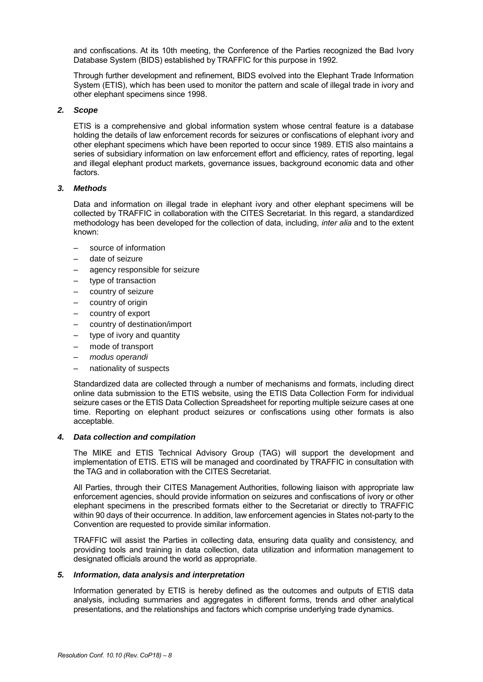and confiscations. At its 10th meeting, the Conference of the Parties recognized the Bad Ivory Database System (BIDS) established by TRAFFIC for this purpose in 1992.

Through further development and refinement, BIDS evolved into the Elephant Trade Information System (ETIS), which has been used to monitor the pattern and scale of illegal trade in ivory and other elephant specimens since 1998.

## *2. Scope*

ETIS is a comprehensive and global information system whose central feature is a database holding the details of law enforcement records for seizures or confiscations of elephant ivory and other elephant specimens which have been reported to occur since 1989. ETIS also maintains a series of subsidiary information on law enforcement effort and efficiency, rates of reporting, legal and illegal elephant product markets, governance issues, background economic data and other factors.

#### *3. Methods*

Data and information on illegal trade in elephant ivory and other elephant specimens will be collected by TRAFFIC in collaboration with the CITES Secretariat. In this regard, a standardized methodology has been developed for the collection of data, including, *inter alia* and to the extent known:

- source of information
- date of seizure
- agency responsible for seizure
- type of transaction
- country of seizure
- country of origin
- country of export
- country of destination/import
- type of ivory and quantity
- mode of transport
- *modus operandi*
- nationality of suspects

Standardized data are collected through a number of mechanisms and formats, including direct online data submission to the ETIS website, using the ETIS Data Collection Form for individual seizure cases or the ETIS Data Collection Spreadsheet for reporting multiple seizure cases at one time. Reporting on elephant product seizures or confiscations using other formats is also acceptable.

#### *4. Data collection and compilation*

The MIKE and ETIS Technical Advisory Group (TAG) will support the development and implementation of ETIS. ETIS will be managed and coordinated by TRAFFIC in consultation with the TAG and in collaboration with the CITES Secretariat.

All Parties, through their CITES Management Authorities, following liaison with appropriate law enforcement agencies, should provide information on seizures and confiscations of ivory or other elephant specimens in the prescribed formats either to the Secretariat or directly to TRAFFIC within 90 days of their occurrence. In addition, law enforcement agencies in States not-party to the Convention are requested to provide similar information.

TRAFFIC will assist the Parties in collecting data, ensuring data quality and consistency, and providing tools and training in data collection, data utilization and information management to designated officials around the world as appropriate.

#### *5. Information, data analysis and interpretation*

Information generated by ETIS is hereby defined as the outcomes and outputs of ETIS data analysis, including summaries and aggregates in different forms, trends and other analytical presentations, and the relationships and factors which comprise underlying trade dynamics.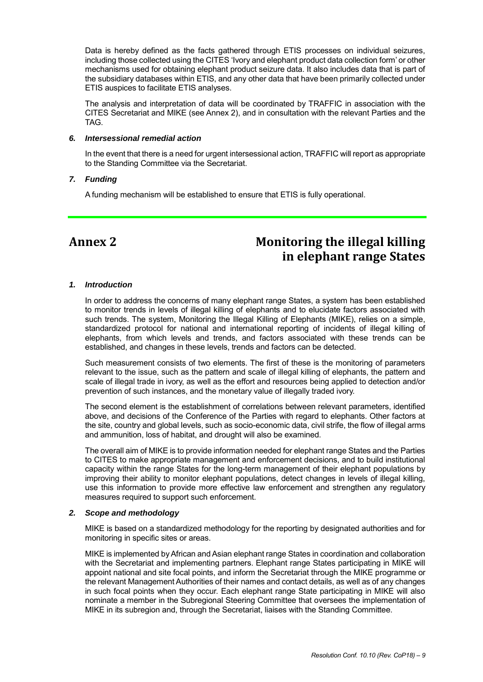Data is hereby defined as the facts gathered through ETIS processes on individual seizures, including those collected using the CITES 'Ivory and elephant product data collection form' or other mechanisms used for obtaining elephant product seizure data. It also includes data that is part of the subsidiary databases within ETIS, and any other data that have been primarily collected under ETIS auspices to facilitate ETIS analyses.

The analysis and interpretation of data will be coordinated by TRAFFIC in association with the CITES Secretariat and MIKE (see Annex 2), and in consultation with the relevant Parties and the TAG.

#### *6. Intersessional remedial action*

In the event that there is a need for urgent intersessional action, TRAFFIC will report as appropriate to the Standing Committee via the Secretariat.

#### *7. Funding*

A funding mechanism will be established to ensure that ETIS is fully operational.

# **Annex 2 Monitoring the illegal killing in elephant range States**

#### *1. Introduction*

In order to address the concerns of many elephant range States, a system has been established to monitor trends in levels of illegal killing of elephants and to elucidate factors associated with such trends. The system, Monitoring the Illegal Killing of Elephants (MIKE), relies on a simple, standardized protocol for national and international reporting of incidents of illegal killing of elephants, from which levels and trends, and factors associated with these trends can be established, and changes in these levels, trends and factors can be detected.

Such measurement consists of two elements. The first of these is the monitoring of parameters relevant to the issue, such as the pattern and scale of illegal killing of elephants, the pattern and scale of illegal trade in ivory, as well as the effort and resources being applied to detection and/or prevention of such instances, and the monetary value of illegally traded ivory.

The second element is the establishment of correlations between relevant parameters, identified above, and decisions of the Conference of the Parties with regard to elephants. Other factors at the site, country and global levels, such as socio-economic data, civil strife, the flow of illegal arms and ammunition, loss of habitat, and drought will also be examined.

The overall aim of MIKE is to provide information needed for elephant range States and the Parties to CITES to make appropriate management and enforcement decisions, and to build institutional capacity within the range States for the long-term management of their elephant populations by improving their ability to monitor elephant populations, detect changes in levels of illegal killing, use this information to provide more effective law enforcement and strengthen any regulatory measures required to support such enforcement.

#### *2. Scope and methodology*

MIKE is based on a standardized methodology for the reporting by designated authorities and for monitoring in specific sites or areas.

MIKE is implemented by African and Asian elephant range States in coordination and collaboration with the Secretariat and implementing partners. Elephant range States participating in MIKE will appoint national and site focal points, and inform the Secretariat through the MIKE programme or the relevant Management Authorities of their names and contact details, as well as of any changes in such focal points when they occur. Each elephant range State participating in MIKE will also nominate a member in the Subregional Steering Committee that oversees the implementation of MIKE in its subregion and, through the Secretariat, liaises with the Standing Committee.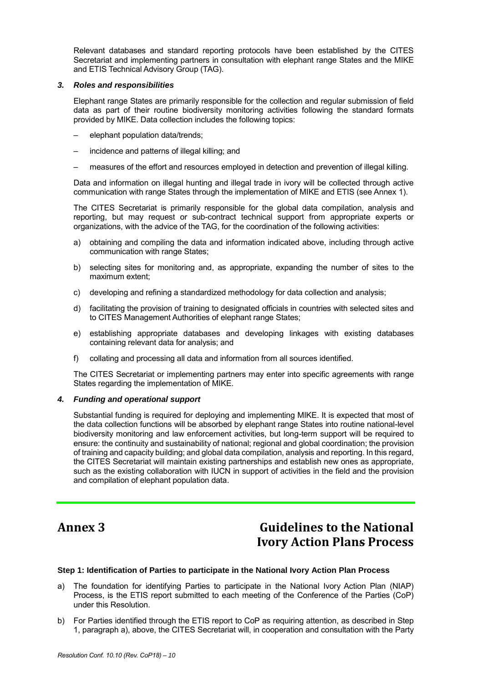Relevant databases and standard reporting protocols have been established by the CITES Secretariat and implementing partners in consultation with elephant range States and the MIKE and ETIS Technical Advisory Group (TAG).

## *3. Roles and responsibilities*

Elephant range States are primarily responsible for the collection and regular submission of field data as part of their routine biodiversity monitoring activities following the standard formats provided by MIKE. Data collection includes the following topics:

- elephant population data/trends;
- incidence and patterns of illegal killing; and
- measures of the effort and resources employed in detection and prevention of illegal killing.

Data and information on illegal hunting and illegal trade in ivory will be collected through active communication with range States through the implementation of MIKE and ETIS (see Annex 1).

The CITES Secretariat is primarily responsible for the global data compilation, analysis and reporting, but may request or sub-contract technical support from appropriate experts or organizations, with the advice of the TAG, for the coordination of the following activities:

- a) obtaining and compiling the data and information indicated above, including through active communication with range States;
- b) selecting sites for monitoring and, as appropriate, expanding the number of sites to the maximum extent;
- c) developing and refining a standardized methodology for data collection and analysis;
- d) facilitating the provision of training to designated officials in countries with selected sites and to CITES Management Authorities of elephant range States;
- e) establishing appropriate databases and developing linkages with existing databases containing relevant data for analysis; and
- f) collating and processing all data and information from all sources identified.

The CITES Secretariat or implementing partners may enter into specific agreements with range States regarding the implementation of MIKE.

# *4. Funding and operational support*

Substantial funding is required for deploying and implementing MIKE. It is expected that most of the data collection functions will be absorbed by elephant range States into routine national-level biodiversity monitoring and law enforcement activities, but long-term support will be required to ensure: the continuity and sustainability of national; regional and global coordination; the provision of training and capacity building; and global data compilation, analysis and reporting. In this regard, the CITES Secretariat will maintain existing partnerships and establish new ones as appropriate, such as the existing collaboration with IUCN in support of activities in the field and the provision and compilation of elephant population data.

# **Annex 3 Guidelines to the National Ivory Action Plans Process**

### **Step 1: Identification of Parties to participate in the National Ivory Action Plan Process**

- a) The foundation for identifying Parties to participate in the National Ivory Action Plan (NIAP) Process, is the ETIS report submitted to each meeting of the Conference of the Parties (CoP) under this Resolution.
- b) For Parties identified through the ETIS report to CoP as requiring attention, as described in Step 1, paragraph a), above, the CITES Secretariat will, in cooperation and consultation with the Party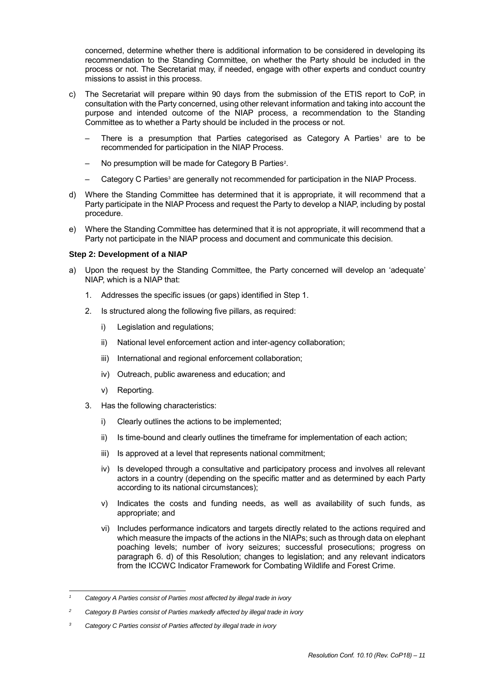concerned, determine whether there is additional information to be considered in developing its recommendation to the Standing Committee, on whether the Party should be included in the process or not. The Secretariat may, if needed, engage with other experts and conduct country missions to assist in this process.

- c) The Secretariat will prepare within 90 days from the submission of the ETIS report to CoP, in consultation with the Party concerned, using other relevant information and taking into account the purpose and intended outcome of the NIAP process, a recommendation to the Standing Committee as to whether a Party should be included in the process or not.
	- $-$  There is a presumption that Parties categorised as Category A Parties<sup>1</sup> are to be recommended for participation in the NIAP Process.
	- No presumption will be made for Category B Parties<sup>2</sup>.
	- Category C Parties<sup>3</sup> are generally not recommended for participation in the NIAP Process.
- d) Where the Standing Committee has determined that it is appropriate, it will recommend that a Party participate in the NIAP Process and request the Party to develop a NIAP, including by postal procedure.
- e) Where the Standing Committee has determined that it is not appropriate, it will recommend that a Party not participate in the NIAP process and document and communicate this decision.

# **Step 2: Development of a NIAP**

- a) Upon the request by the Standing Committee, the Party concerned will develop an 'adequate' NIAP, which is a NIAP that:
	- 1. Addresses the specific issues (or gaps) identified in Step 1.
	- 2. Is structured along the following five pillars, as required:
		- i) Legislation and regulations;
		- ii) National level enforcement action and inter-agency collaboration;
		- iii) International and regional enforcement collaboration;
		- iv) Outreach, public awareness and education; and
		- v) Reporting.
	- 3. Has the following characteristics:
		- i) Clearly outlines the actions to be implemented;
		- ii) Is time-bound and clearly outlines the timeframe for implementation of each action;
		- iii) Is approved at a level that represents national commitment;
		- iv) Is developed through a consultative and participatory process and involves all relevant actors in a country (depending on the specific matter and as determined by each Party according to its national circumstances);
		- v) Indicates the costs and funding needs, as well as availability of such funds, as appropriate; and
		- vi) Includes performance indicators and targets directly related to the actions required and which measure the impacts of the actions in the NIAPs; such as through data on elephant poaching levels; number of ivory seizures; successful prosecutions; progress on paragraph 6. d) of this Resolution; changes to legislation; and any relevant indicators from the ICCWC Indicator Framework for Combating Wildlife and Forest Crime.

<sup>1</sup> *<sup>1</sup> Category A Parties consist of Parties most affected by illegal trade in ivory*

*<sup>2</sup> Category B Parties consist of Parties markedly affected by illegal trade in ivory*

*<sup>3</sup> Category C Parties consist of Parties affected by illegal trade in ivory*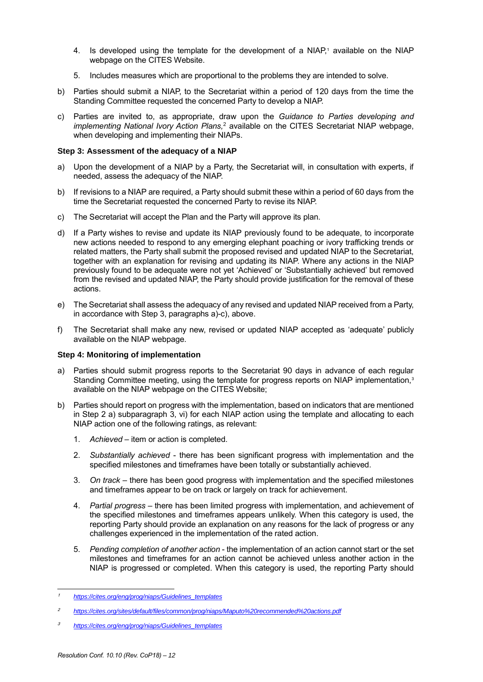- 4. Is developed using the template for the development of a NIAP,<sup>1</sup> available on the NIAP webpage on the CITES Website.
- 5. Includes measures which are proportional to the problems they are intended to solve.
- b) Parties should submit a NIAP, to the Secretariat within a period of 120 days from the time the Standing Committee requested the concerned Party to develop a NIAP.
- c) Parties are invited to, as appropriate, draw upon the *Guidance to Parties developing and implementing National Ivory Action Plans,*<sup>2</sup> available on the CITES Secretariat NIAP webpage, when developing and implementing their NIAPs.

# **Step 3: Assessment of the adequacy of a NIAP**

- a) Upon the development of a NIAP by a Party, the Secretariat will, in consultation with experts, if needed, assess the adequacy of the NIAP.
- b) If revisions to a NIAP are required, a Party should submit these within a period of 60 days from the time the Secretariat requested the concerned Party to revise its NIAP.
- c) The Secretariat will accept the Plan and the Party will approve its plan.
- d) If a Party wishes to revise and update its NIAP previously found to be adequate, to incorporate new actions needed to respond to any emerging elephant poaching or ivory trafficking trends or related matters, the Party shall submit the proposed revised and updated NIAP to the Secretariat, together with an explanation for revising and updating its NIAP. Where any actions in the NIAP previously found to be adequate were not yet 'Achieved' or 'Substantially achieved' but removed from the revised and updated NIAP, the Party should provide justification for the removal of these actions.
- e) The Secretariat shall assess the adequacy of any revised and updated NIAP received from a Party, in accordance with Step 3, paragraphs a)-c), above.
- f) The Secretariat shall make any new, revised or updated NIAP accepted as 'adequate' publicly available on the NIAP webpage.

#### **Step 4: Monitoring of implementation**

- a) Parties should submit progress reports to the Secretariat 90 days in advance of each regular Standing Committee meeting, using the template for progress reports on NIAP implementation,<sup>3</sup> available on the NIAP webpage on the CITES Website;
- b) Parties should report on progress with the implementation, based on indicators that are mentioned in Step 2 a) subparagraph 3, vi) for each NIAP action using the template and allocating to each NIAP action one of the following ratings, as relevant:
	- 1. *Achieved* item or action is completed.
	- 2. *Substantially achieved* there has been significant progress with implementation and the specified milestones and timeframes have been totally or substantially achieved.
	- 3. *On track* there has been good progress with implementation and the specified milestones and timeframes appear to be on track or largely on track for achievement.
	- 4. *Partial progress* there has been limited progress with implementation, and achievement of the specified milestones and timeframes appears unlikely. When this category is used, the reporting Party should provide an explanation on any reasons for the lack of progress or any challenges experienced in the implementation of the rated action.
	- 5. *Pending completion of another action* the implementation of an action cannot start or the set milestones and timeframes for an action cannot be achieved unless another action in the NIAP is progressed or completed. When this category is used, the reporting Party should

l <sup>1</sup> *[https://cites.org/eng/prog/niaps/Guidelines\\_templates](https://cites.org/eng/prog/niaps/Guidelines_templates)*

<sup>2</sup> *<https://cites.org/sites/default/files/common/prog/niaps/Maputo%20recommended%20actions.pdf>*

<sup>3</sup> *[https://cites.org/eng/prog/niaps/Guidelines\\_templates](https://cites.org/eng/prog/niaps/Guidelines_templates)*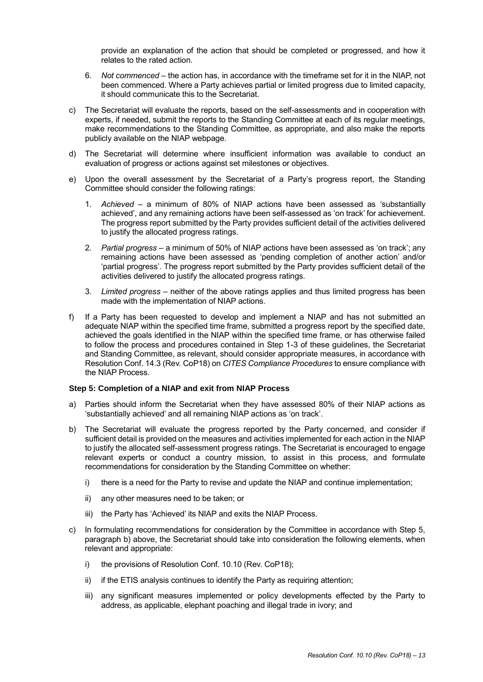provide an explanation of the action that should be completed or progressed, and how it relates to the rated action.

- 6. *Not commenced* the action has, in accordance with the timeframe set for it in the NIAP, not been commenced. Where a Party achieves partial or limited progress due to limited capacity, it should communicate this to the Secretariat.
- c) The Secretariat will evaluate the reports, based on the self-assessments and in cooperation with experts, if needed, submit the reports to the Standing Committee at each of its regular meetings, make recommendations to the Standing Committee, as appropriate, and also make the reports publicly available on the NIAP webpage.
- d) The Secretariat will determine where insufficient information was available to conduct an evaluation of progress or actions against set milestones or objectives.
- e) Upon the overall assessment by the Secretariat of a Party's progress report, the Standing Committee should consider the following ratings:
	- 1. *Achieved*  a minimum of 80% of NIAP actions have been assessed as 'substantially achieved', and any remaining actions have been self-assessed as 'on track' for achievement. The progress report submitted by the Party provides sufficient detail of the activities delivered to justify the allocated progress ratings.
	- 2. *Partial progress*  a minimum of 50% of NIAP actions have been assessed as 'on track'; any remaining actions have been assessed as 'pending completion of another action' and/or 'partial progress'. The progress report submitted by the Party provides sufficient detail of the activities delivered to justify the allocated progress ratings.
	- 3. *Limited progress* neither of the above ratings applies and thus limited progress has been made with the implementation of NIAP actions.
- f) If a Party has been requested to develop and implement a NIAP and has not submitted an adequate NIAP within the specified time frame, submitted a progress report by the specified date, achieved the goals identified in the NIAP within the specified time frame, or has otherwise failed to follow the process and procedures contained in Step 1-3 of these guidelines, the Secretariat and Standing Committee, as relevant, should consider appropriate measures, in accordance with Resolution Conf. 14.3 (Rev. CoP18) on *CITES Compliance Procedures* to ensure compliance with the NIAP Process.

#### **Step 5: Completion of a NIAP and exit from NIAP Process**

- a) Parties should inform the Secretariat when they have assessed 80% of their NIAP actions as 'substantially achieved' and all remaining NIAP actions as 'on track'.
- b) The Secretariat will evaluate the progress reported by the Party concerned, and consider if sufficient detail is provided on the measures and activities implemented for each action in the NIAP to justify the allocated self-assessment progress ratings. The Secretariat is encouraged to engage relevant experts or conduct a country mission, to assist in this process, and formulate recommendations for consideration by the Standing Committee on whether:
	- i) there is a need for the Party to revise and update the NIAP and continue implementation;
	- ii) any other measures need to be taken; or
	- iii) the Party has 'Achieved' its NIAP and exits the NIAP Process.
- c) In formulating recommendations for consideration by the Committee in accordance with Step 5, paragraph b) above, the Secretariat should take into consideration the following elements, when relevant and appropriate:
	- i) the provisions of Resolution Conf. 10.10 (Rev. CoP18);
	- ii) if the ETIS analysis continues to identify the Party as requiring attention;
	- iii) any significant measures implemented or policy developments effected by the Party to address, as applicable, elephant poaching and illegal trade in ivory; and